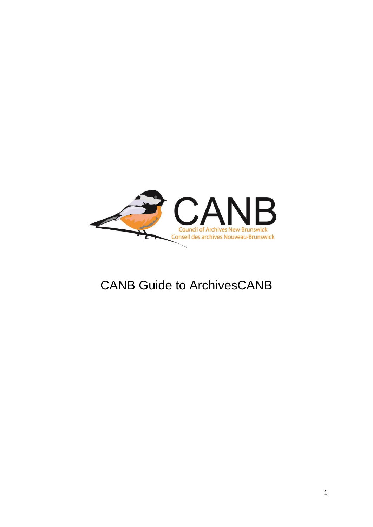

# CANB Guide to ArchivesCANB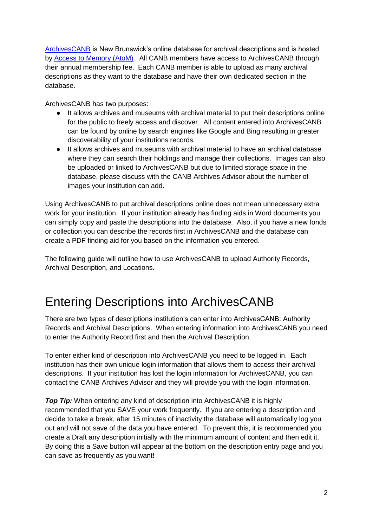[ArchivesCANB](https://search.canbarchives.ca/) is New Brunswick's online database for archival descriptions and is hosted by [Access to Memory \(AtoM\).](https://www.accesstomemory.org/en/) All CANB members have access to ArchivesCANB through their annual membership fee. Each CANB member is able to upload as many archival descriptions as they want to the database and have their own dedicated section in the database.

ArchivesCANB has two purposes:

- It allows archives and museums with archival material to put their descriptions online for the public to freely access and discover. All content entered into ArchivesCANB can be found by online by search engines like Google and Bing resulting in greater discoverability of your institutions records.
- It allows archives and museums with archival material to have an archival database where they can search their holdings and manage their collections. Images can also be uploaded or linked to ArchivesCANB but due to limited storage space in the database, please discuss with the CANB Archives Advisor about the number of images your institution can add.

Using ArchivesCANB to put archival descriptions online does not mean unnecessary extra work for your institution. If your institution already has finding aids in Word documents you can simply copy and paste the descriptions into the database. Also, if you have a new fonds or collection you can describe the records first in ArchivesCANB and the database can create a PDF finding aid for you based on the information you entered.

The following guide will outline how to use ArchivesCANB to upload Authority Records, Archival Description, and Locations.

# Entering Descriptions into ArchivesCANB

There are two types of descriptions institution's can enter into ArchivesCANB: Authority Records and Archival Descriptions. When entering information into ArchivesCANB you need to enter the Authority Record first and then the Archival Description.

To enter either kind of description into ArchivesCANB you need to be logged in. Each institution has their own unique login information that allows them to access their archival descriptions. If your institution has lost the login information for ArchivesCANB, you can contact the CANB Archives Advisor and they will provide you with the login information.

**Top Tip:** When entering any kind of description into ArchivesCANB it is highly recommended that you SAVE your work frequently. If you are entering a description and decide to take a break, after 15 minutes of inactivity the database will automatically log you out and will not save of the data you have entered. To prevent this, it is recommended you create a Draft any description initially with the minimum amount of content and then edit it. By doing this a Save button will appear at the bottom on the description entry page and you can save as frequently as you want!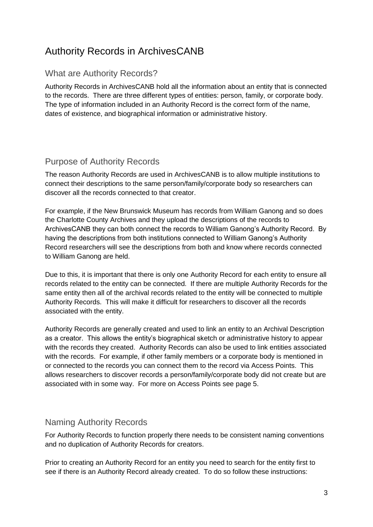# Authority Records in ArchivesCANB

### What are Authority Records?

Authority Records in ArchivesCANB hold all the information about an entity that is connected to the records. There are three different types of entities: person, family, or corporate body. The type of information included in an Authority Record is the correct form of the name, dates of existence, and biographical information or administrative history.

### Purpose of Authority Records

The reason Authority Records are used in ArchivesCANB is to allow multiple institutions to connect their descriptions to the same person/family/corporate body so researchers can discover all the records connected to that creator.

For example, if the New Brunswick Museum has records from William Ganong and so does the Charlotte County Archives and they upload the descriptions of the records to ArchivesCANB they can both connect the records to William Ganong's Authority Record. By having the descriptions from both institutions connected to William Ganong's Authority Record researchers will see the descriptions from both and know where records connected to William Ganong are held.

Due to this, it is important that there is only one Authority Record for each entity to ensure all records related to the entity can be connected. If there are multiple Authority Records for the same entity then all of the archival records related to the entity will be connected to multiple Authority Records. This will make it difficult for researchers to discover all the records associated with the entity.

Authority Records are generally created and used to link an entity to an Archival Description as a creator. This allows the entity's biographical sketch or administrative history to appear with the records they created. Authority Records can also be used to link entities associated with the records. For example, if other family members or a corporate body is mentioned in or connected to the records you can connect them to the record via Access Points. This allows researchers to discover records a person/family/corporate body did not create but are associated with in some way. For more on Access Points see page 5.

#### Naming Authority Records

For Authority Records to function properly there needs to be consistent naming conventions and no duplication of Authority Records for creators.

Prior to creating an Authority Record for an entity you need to search for the entity first to see if there is an Authority Record already created. To do so follow these instructions: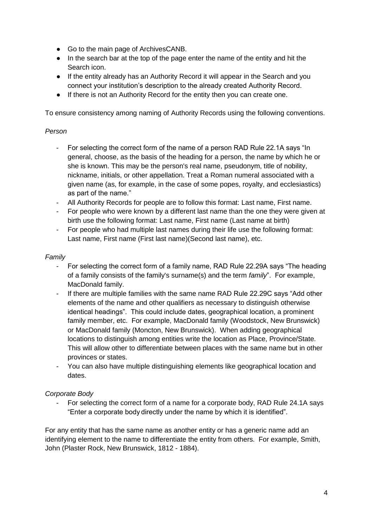- Go to the main page of ArchivesCANB.
- In the search bar at the top of the page enter the name of the entity and hit the Search icon.
- If the entity already has an Authority Record it will appear in the Search and you connect your institution's description to the already created Authority Record.
- If there is not an Authority Record for the entity then you can create one.

To ensure consistency among naming of Authority Records using the following conventions.

#### *Person*

- For selecting the correct form of the name of a person RAD Rule 22.1A says "In general, choose, as the basis of the heading for a person, the name by which he or she is known. This may be the person's real name, pseudonym, title of nobility, nickname, initials, or other appellation. Treat a Roman numeral associated with a given name (as, for example, in the case of some popes, royalty, and ecclesiastics) as part of the name."
- All Authority Records for people are to follow this format: Last name, First name.
- For people who were known by a different last name than the one they were given at birth use the following format: Last name, First name (Last name at birth)
- For people who had multiple last names during their life use the following format: Last name, First name (First last name)(Second last name), etc.

#### *Family*

- For selecting the correct form of a family name, RAD Rule 22.29A says "The heading of a family consists of the family's surname(s) and the term *family*". For example, MacDonald family.
- If there are multiple families with the same name RAD Rule 22.29C says "Add other elements of the name and other qualifiers as necessary to distinguish otherwise identical headings". This could include dates, geographical location, a prominent family member, etc. For example, MacDonald family (Woodstock, New Brunswick) or MacDonald family (Moncton, New Brunswick). When adding geographical locations to distinguish among entities write the location as Place, Province/State. This will allow other to differentiate between places with the same name but in other provinces or states.
- You can also have multiple distinguishing elements like geographical location and dates.

#### *Corporate Body*

- For selecting the correct form of a name for a corporate body, RAD Rule 24.1A says "Enter a corporate body directly under the name by which it is identified".

For any entity that has the same name as another entity or has a generic name add an identifying element to the name to differentiate the entity from others. For example, Smith, John (Plaster Rock, New Brunswick, 1812 - 1884).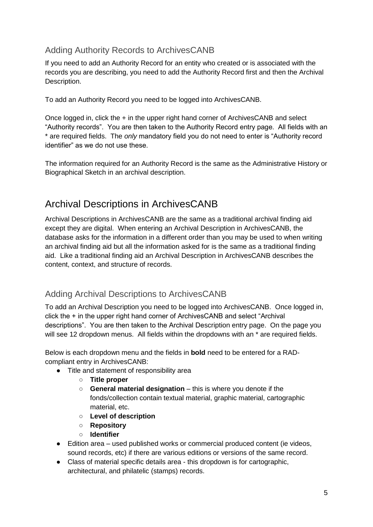## Adding Authority Records to ArchivesCANB

If you need to add an Authority Record for an entity who created or is associated with the records you are describing, you need to add the Authority Record first and then the Archival Description.

To add an Authority Record you need to be logged into ArchivesCANB.

Once logged in, click the + in the upper right hand corner of ArchivesCANB and select "Authority records". You are then taken to the Authority Record entry page. All fields with an \* are required fields. The *only* mandatory field you do not need to enter is "Authority record identifier" as we do not use these.

The information required for an Authority Record is the same as the Administrative History or Biographical Sketch in an archival description.

# Archival Descriptions in ArchivesCANB

Archival Descriptions in ArchivesCANB are the same as a traditional archival finding aid except they are digital. When entering an Archival Description in ArchivesCANB, the database asks for the information in a different order than you may be used to when writing an archival finding aid but all the information asked for is the same as a traditional finding aid. Like a traditional finding aid an Archival Description in ArchivesCANB describes the content, context, and structure of records.

## Adding Archival Descriptions to ArchivesCANB

To add an Archival Description you need to be logged into ArchivesCANB. Once logged in, click the + in the upper right hand corner of ArchivesCANB and select "Archival descriptions". You are then taken to the Archival Description entry page. On the page you will see 12 dropdown menus. All fields within the dropdowns with an  $*$  are required fields.

Below is each dropdown menu and the fields in **bold** need to be entered for a RADcompliant entry in ArchivesCANB:

- Title and statement of responsibility area
	- **Title proper**
	- **General material designation** this is where you denote if the fonds/collection contain textual material, graphic material, cartographic material, etc.
	- **Level of description**
	- **Repository**
	- **Identifier**
- Edition area used published works or commercial produced content (ie videos, sound records, etc) if there are various editions or versions of the same record.
- Class of material specific details area this dropdown is for cartographic, architectural, and philatelic (stamps) records.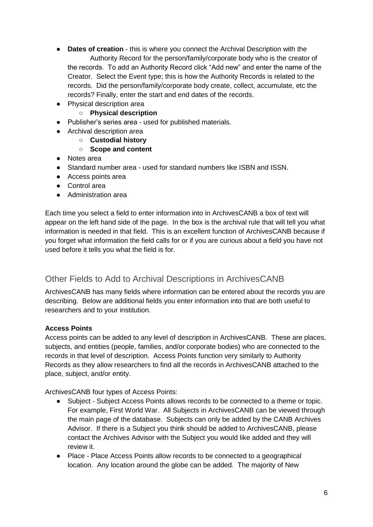- **Dates of creation** this is where you connect the Archival Description with the Authority Record for the person/family/corporate body who is the creator of the records. To add an Authority Record click "Add new" and enter the name of the Creator. Select the Event type; this is how the Authority Records is related to the records. Did the person/family/corporate body create, collect, accumulate, etc the records? Finally, enter the start and end dates of the records.
- Physical description area
	- **Physical description**
- Publisher's series area used for published materials.
- Archival description area
	- **Custodial history**
	- **Scope and content**
- Notes area
- Standard number area used for standard numbers like ISBN and ISSN.
- Access points area
- Control area
- Administration area

Each time you select a field to enter information into in ArchivesCANB a box of text will appear on the left hand side of the page. In the box is the archival rule that will tell you what information is needed in that field. This is an excellent function of ArchivesCANB because if you forget what information the field calls for or if you are curious about a field you have not used before it tells you what the field is for.

#### Other Fields to Add to Archival Descriptions in ArchivesCANB

ArchivesCANB has many fields where information can be entered about the records you are describing. Below are additional fields you enter information into that are both useful to researchers and to your institution.

#### **Access Points**

Access points can be added to any level of description in ArchivesCANB. These are places, subjects, and entities (people, families, and/or corporate bodies) who are connected to the records in that level of description. Access Points function very similarly to Authority Records as they allow researchers to find all the records in ArchivesCANB attached to the place, subject, and/or entity.

ArchivesCANB four types of Access Points:

- Subject Subject Access Points allows records to be connected to a theme or topic. For example, First World War. All Subjects in ArchivesCANB can be viewed through the main page of the database. Subjects can only be added by the CANB Archives Advisor. If there is a Subject you think should be added to ArchivesCANB, please contact the Archives Advisor with the Subject you would like added and they will review it.
- Place Place Access Points allow records to be connected to a geographical location. Any location around the globe can be added. The majority of New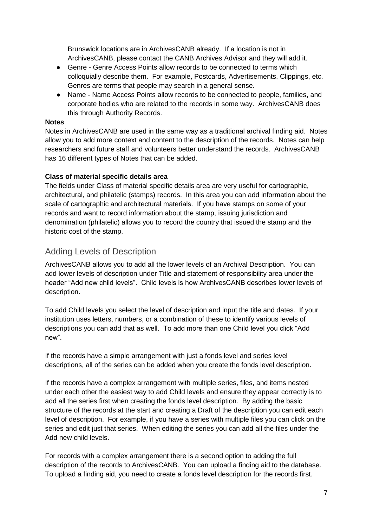Brunswick locations are in ArchivesCANB already. If a location is not in ArchivesCANB, please contact the CANB Archives Advisor and they will add it.

- Genre Genre Access Points allow records to be connected to terms which colloquially describe them. For example, Postcards, Advertisements, Clippings, etc. Genres are terms that people may search in a general sense.
- Name Name Access Points allow records to be connected to people, families, and corporate bodies who are related to the records in some way. ArchivesCANB does this through Authority Records.

#### **Notes**

Notes in ArchivesCANB are used in the same way as a traditional archival finding aid. Notes allow you to add more context and content to the description of the records. Notes can help researchers and future staff and volunteers better understand the records. ArchivesCANB has 16 different types of Notes that can be added.

#### **Class of material specific details area**

The fields under Class of material specific details area are very useful for cartographic, architectural, and philatelic (stamps) records. In this area you can add information about the scale of cartographic and architectural materials. If you have stamps on some of your records and want to record information about the stamp, issuing jurisdiction and denomination (philatelic) allows you to record the country that issued the stamp and the historic cost of the stamp.

#### Adding Levels of Description

ArchivesCANB allows you to add all the lower levels of an Archival Description. You can add lower levels of description under Title and statement of responsibility area under the header "Add new child levels". Child levels is how ArchivesCANB describes lower levels of description.

To add Child levels you select the level of description and input the title and dates. If your institution uses letters, numbers, or a combination of these to identify various levels of descriptions you can add that as well. To add more than one Child level you click "Add new".

If the records have a simple arrangement with just a fonds level and series level descriptions, all of the series can be added when you create the fonds level description.

If the records have a complex arrangement with multiple series, files, and items nested under each other the easiest way to add Child levels and ensure they appear correctly is to add all the series first when creating the fonds level description. By adding the basic structure of the records at the start and creating a Draft of the description you can edit each level of description. For example, if you have a series with multiple files you can click on the series and edit just that series. When editing the series you can add all the files under the Add new child levels.

For records with a complex arrangement there is a second option to adding the full description of the records to ArchivesCANB. You can upload a finding aid to the database. To upload a finding aid, you need to create a fonds level description for the records first.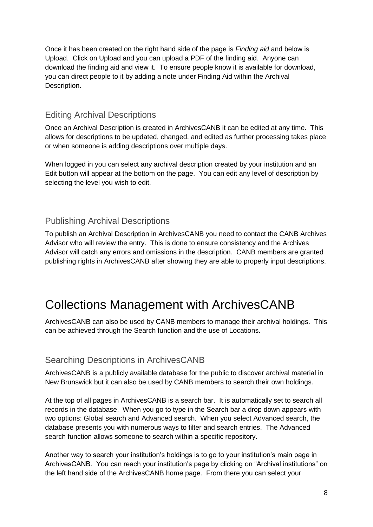Once it has been created on the right hand side of the page is *Finding aid* and below is Upload. Click on Upload and you can upload a PDF of the finding aid. Anyone can download the finding aid and view it. To ensure people know it is available for download, you can direct people to it by adding a note under Finding Aid within the Archival Description.

### Editing Archival Descriptions

Once an Archival Description is created in ArchivesCANB it can be edited at any time. This allows for descriptions to be updated, changed, and edited as further processing takes place or when someone is adding descriptions over multiple days.

When logged in you can select any archival description created by your institution and an Edit button will appear at the bottom on the page. You can edit any level of description by selecting the level you wish to edit.

### Publishing Archival Descriptions

To publish an Archival Description in ArchivesCANB you need to contact the CANB Archives Advisor who will review the entry. This is done to ensure consistency and the Archives Advisor will catch any errors and omissions in the description. CANB members are granted publishing rights in ArchivesCANB after showing they are able to properly input descriptions.

# Collections Management with ArchivesCANB

ArchivesCANB can also be used by CANB members to manage their archival holdings. This can be achieved through the Search function and the use of Locations.

#### Searching Descriptions in ArchivesCANB

ArchivesCANB is a publicly available database for the public to discover archival material in New Brunswick but it can also be used by CANB members to search their own holdings.

At the top of all pages in ArchivesCANB is a search bar. It is automatically set to search all records in the database. When you go to type in the Search bar a drop down appears with two options: Global search and Advanced search. When you select Advanced search, the database presents you with numerous ways to filter and search entries. The Advanced search function allows someone to search within a specific repository.

Another way to search your institution's holdings is to go to your institution's main page in ArchivesCANB. You can reach your institution's page by clicking on "Archival institutions" on the left hand side of the ArchivesCANB home page. From there you can select your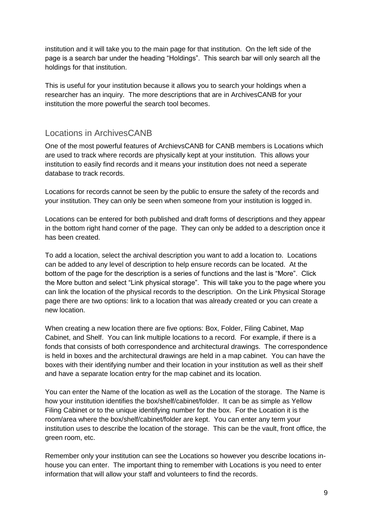institution and it will take you to the main page for that institution. On the left side of the page is a search bar under the heading "Holdings". This search bar will only search all the holdings for that institution.

This is useful for your institution because it allows you to search your holdings when a researcher has an inquiry. The more descriptions that are in ArchivesCANB for your institution the more powerful the search tool becomes.

### Locations in ArchivesCANB

One of the most powerful features of ArchievsCANB for CANB members is Locations which are used to track where records are physically kept at your institution. This allows your institution to easily find records and it means your institution does not need a seperate database to track records.

Locations for records cannot be seen by the public to ensure the safety of the records and your institution. They can only be seen when someone from your institution is logged in.

Locations can be entered for both published and draft forms of descriptions and they appear in the bottom right hand corner of the page. They can only be added to a description once it has been created.

To add a location, select the archival description you want to add a location to. Locations can be added to any level of description to help ensure records can be located. At the bottom of the page for the description is a series of functions and the last is "More". Click the More button and select "Link physical storage". This will take you to the page where you can link the location of the physical records to the description. On the Link Physical Storage page there are two options: link to a location that was already created or you can create a new location.

When creating a new location there are five options: Box, Folder, Filing Cabinet, Map Cabinet, and Shelf. You can link multiple locations to a record. For example, if there is a fonds that consists of both correspondence and architectural drawings. The correspondence is held in boxes and the architectural drawings are held in a map cabinet. You can have the boxes with their identifying number and their location in your institution as well as their shelf and have a separate location entry for the map cabinet and its location.

You can enter the Name of the location as well as the Location of the storage. The Name is how your institution identifies the box/shelf/cabinet/folder. It can be as simple as Yellow Filing Cabinet or to the unique identifying number for the box. For the Location it is the room/area where the box/shelf/cabinet/folder are kept. You can enter any term your institution uses to describe the location of the storage. This can be the vault, front office, the green room, etc.

Remember only your institution can see the Locations so however you describe locations inhouse you can enter. The important thing to remember with Locations is you need to enter information that will allow your staff and volunteers to find the records.